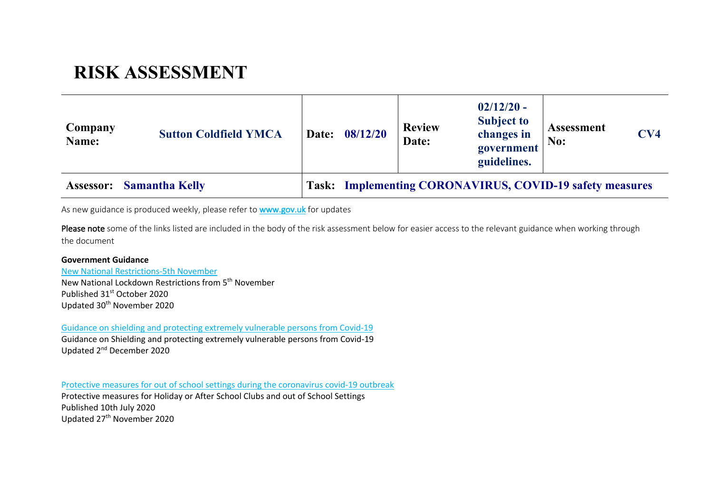# **RISK ASSESSMENT**

| Company<br>Name: | <b>Sutton Coldfield YMCA</b>    | Date: 08/12/20 | <b>Review</b><br>Date: | $02/12/20 -$<br><b>Subject to</b><br>changes in<br>government<br>guidelines. | <b>Assessment</b><br>No:                                 | CV <sub>4</sub> |
|------------------|---------------------------------|----------------|------------------------|------------------------------------------------------------------------------|----------------------------------------------------------|-----------------|
|                  | <b>Assessor:</b> Samantha Kelly |                |                        |                                                                              | Task: Implementing CORONAVIRUS, COVID-19 safety measures |                 |

As new guidance is produced weekly, please refer to **www.gov.uk** for updates

Please note some of the links listed are included in the body of the risk assessment below for easier access to the relevant guidance when working through the document

# **Government Guidance**

New National Restrictions-5th November New National Lockdown Restrictions from 5th November Published 31st October 2020 Updated 30th November 2020

Guidance on shielding and protecting extremely vulnerable persons from Covid-19 Guidance on Shielding and protecting extremely vulnerable persons from Covid-19 Updated 2nd December 2020

Protective measures for out of school settings during the coronavirus covid-19 outbreak Protective measures for Holiday or After School Clubs and out of School Settings Published 10th July 2020 Updated 27th November 2020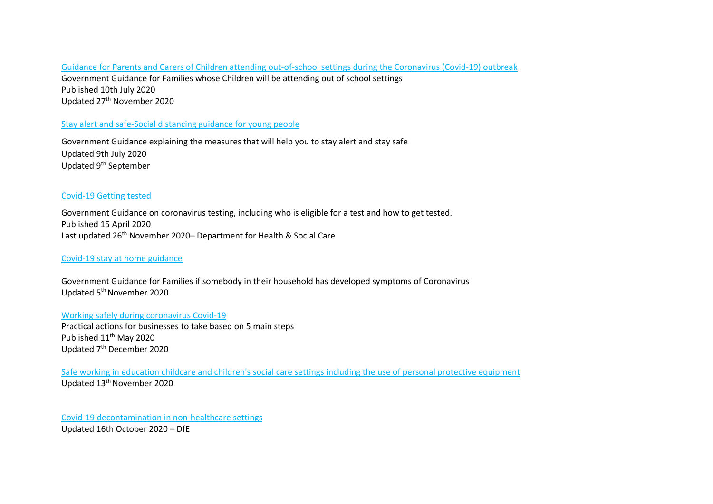Guidance for Parents and Carers of Children attending out-of-school settings during the Coronavirus (Covid-19) outbreak Government Guidance for Families whose Children will be attending out of school settings Published 10th July 2020 Updated 27th November 2020

# Stay alert and safe-Social distancing guidance for young people

Government Guidance explaining the measures that will help you to stay alert and stay safe Updated 9th July 2020 Updated 9th September

#### Covid-19 Getting tested

Government Guidance on coronavirus testing, including who is eligible for a test and how to get tested. Published 15 April 2020 Last updated 26<sup>th</sup> November 2020– Department for Health & Social Care

Covid-19 stay at home guidance

Government Guidance for Families if somebody in their household has developed symptoms of Coronavirus Updated 5th November 2020

# Working safely during coronavirus Covid-19

Practical actions for businesses to take based on 5 main steps Published 11<sup>th</sup> May 2020 Updated 7th December 2020

Safe working in education childcare and children's social care settings including the use of personal protective equipment Updated 13th November 2020

Covid-19 decontamination in non-healthcare settings Updated 16th October 2020 – DfE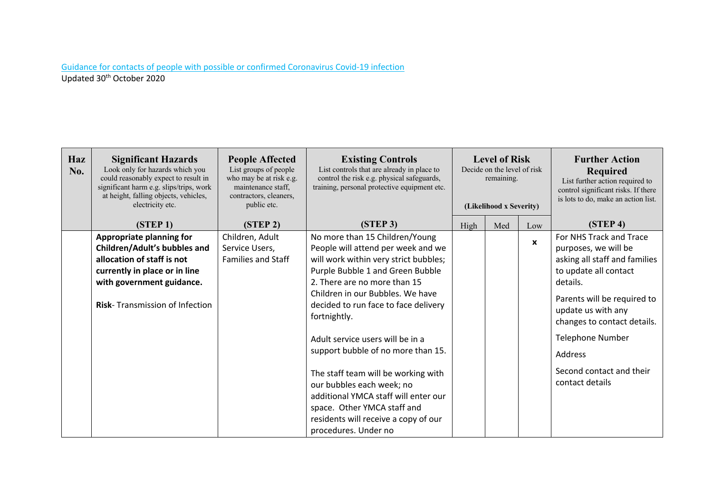# Guidance for contacts of people with possible or confirmed Coronavirus Covid-19 infection Updated 30th October 2020

| Haz<br>No. | <b>Significant Hazards</b><br>Look only for hazards which you<br>could reasonably expect to result in<br>significant harm e.g. slips/trips, work<br>at height, falling objects, vehicles,<br>electricity etc. | <b>People Affected</b><br>List groups of people<br>who may be at risk e.g.<br>maintenance staff,<br>contractors, cleaners,<br>public etc. | <b>Existing Controls</b><br>List controls that are already in place to<br>control the risk e.g. physical safeguards,<br>training, personal protective equipment etc.                                                                                                                                                                                                                                                                                                                                                                                               | <b>Level of Risk</b><br>Decide on the level of risk<br>remaining.<br>(Likelihood x Severity) |     |              | <b>Further Action</b><br><b>Required</b><br>List further action required to<br>control significant risks. If there<br>is lots to do, make an action list.                                                                                                                                      |
|------------|---------------------------------------------------------------------------------------------------------------------------------------------------------------------------------------------------------------|-------------------------------------------------------------------------------------------------------------------------------------------|--------------------------------------------------------------------------------------------------------------------------------------------------------------------------------------------------------------------------------------------------------------------------------------------------------------------------------------------------------------------------------------------------------------------------------------------------------------------------------------------------------------------------------------------------------------------|----------------------------------------------------------------------------------------------|-----|--------------|------------------------------------------------------------------------------------------------------------------------------------------------------------------------------------------------------------------------------------------------------------------------------------------------|
|            | (STEP <sub>1</sub> )                                                                                                                                                                                          | (STEP <sub>2</sub> )                                                                                                                      | (STEP 3)                                                                                                                                                                                                                                                                                                                                                                                                                                                                                                                                                           | High                                                                                         | Med | Low          | (STEP <sub>4</sub> )                                                                                                                                                                                                                                                                           |
|            | Appropriate planning for<br>Children/Adult's bubbles and<br>allocation of staff is not<br>currently in place or in line<br>with government guidance.<br><b>Risk-</b> Transmission of Infection                | Children, Adult<br>Service Users,<br><b>Families and Staff</b>                                                                            | No more than 15 Children/Young<br>People will attend per week and we<br>will work within very strict bubbles;<br>Purple Bubble 1 and Green Bubble<br>2. There are no more than 15<br>Children in our Bubbles. We have<br>decided to run face to face delivery<br>fortnightly.<br>Adult service users will be in a<br>support bubble of no more than 15.<br>The staff team will be working with<br>our bubbles each week; no<br>additional YMCA staff will enter our<br>space. Other YMCA staff and<br>residents will receive a copy of our<br>procedures. Under no |                                                                                              |     | $\mathbf{x}$ | For NHS Track and Trace<br>purposes, we will be<br>asking all staff and families<br>to update all contact<br>details.<br>Parents will be required to<br>update us with any<br>changes to contact details.<br><b>Telephone Number</b><br>Address<br>Second contact and their<br>contact details |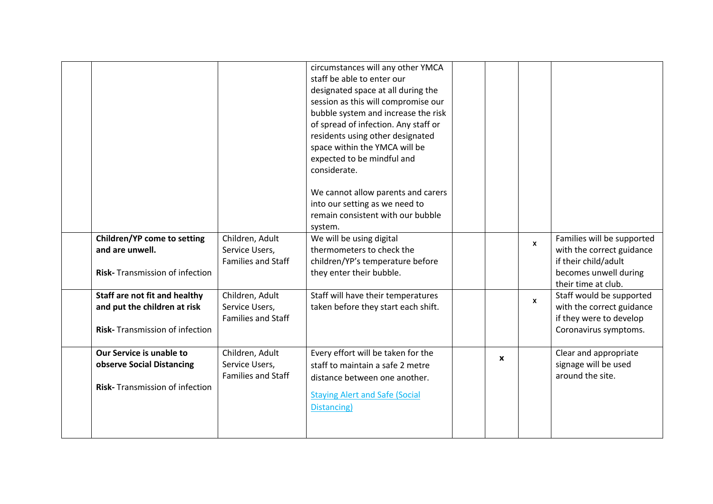|                                                                                                         |                                                                | circumstances will any other YMCA<br>staff be able to enter our<br>designated space at all during the<br>session as this will compromise our<br>bubble system and increase the risk<br>of spread of infection. Any staff or<br>residents using other designated<br>space within the YMCA will be<br>expected to be mindful and<br>considerate. |             |              |                                                                                                                                 |
|---------------------------------------------------------------------------------------------------------|----------------------------------------------------------------|------------------------------------------------------------------------------------------------------------------------------------------------------------------------------------------------------------------------------------------------------------------------------------------------------------------------------------------------|-------------|--------------|---------------------------------------------------------------------------------------------------------------------------------|
|                                                                                                         |                                                                | We cannot allow parents and carers<br>into our setting as we need to<br>remain consistent with our bubble<br>system.                                                                                                                                                                                                                           |             |              |                                                                                                                                 |
| <b>Children/YP come to setting</b><br>and are unwell.<br><b>Risk-</b> Transmission of infection         | Children, Adult<br>Service Users,<br><b>Families and Staff</b> | We will be using digital<br>thermometers to check the<br>children/YP's temperature before<br>they enter their bubble.                                                                                                                                                                                                                          |             | $\mathbf{x}$ | Families will be supported<br>with the correct guidance<br>if their child/adult<br>becomes unwell during<br>their time at club. |
| Staff are not fit and healthy<br>and put the children at risk<br><b>Risk-</b> Transmission of infection | Children, Adult<br>Service Users,<br><b>Families and Staff</b> | Staff will have their temperatures<br>taken before they start each shift.                                                                                                                                                                                                                                                                      |             | $\mathbf{x}$ | Staff would be supported<br>with the correct guidance<br>if they were to develop<br>Coronavirus symptoms.                       |
| Our Service is unable to<br>observe Social Distancing<br><b>Risk-</b> Transmission of infection         | Children, Adult<br>Service Users,<br><b>Families and Staff</b> | Every effort will be taken for the<br>staff to maintain a safe 2 metre<br>distance between one another.<br><b>Staying Alert and Safe (Social</b><br>Distancing)                                                                                                                                                                                | $\mathbf x$ |              | Clear and appropriate<br>signage will be used<br>around the site.                                                               |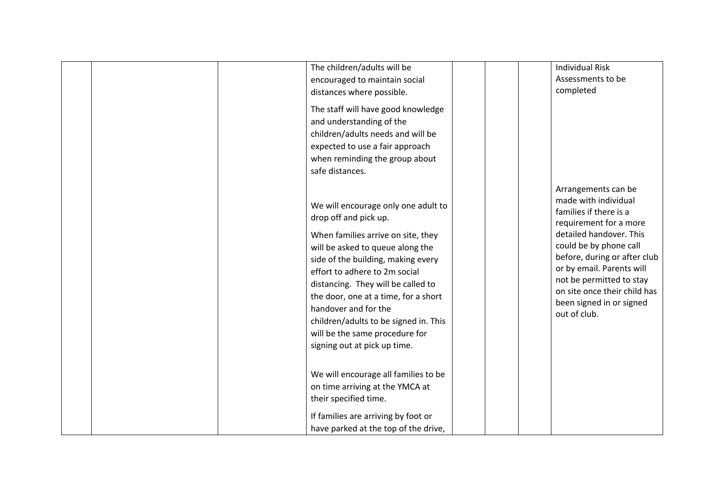| The children/adults will be                                                                                                                                                                                                                                                                                                                                                                                                    | <b>Individual Risk</b>                                                                                                                                                                                                                                                                                                    |
|--------------------------------------------------------------------------------------------------------------------------------------------------------------------------------------------------------------------------------------------------------------------------------------------------------------------------------------------------------------------------------------------------------------------------------|---------------------------------------------------------------------------------------------------------------------------------------------------------------------------------------------------------------------------------------------------------------------------------------------------------------------------|
| encouraged to maintain social                                                                                                                                                                                                                                                                                                                                                                                                  | Assessments to be                                                                                                                                                                                                                                                                                                         |
| distances where possible.                                                                                                                                                                                                                                                                                                                                                                                                      | completed                                                                                                                                                                                                                                                                                                                 |
| The staff will have good knowledge                                                                                                                                                                                                                                                                                                                                                                                             |                                                                                                                                                                                                                                                                                                                           |
| and understanding of the                                                                                                                                                                                                                                                                                                                                                                                                       |                                                                                                                                                                                                                                                                                                                           |
| children/adults needs and will be                                                                                                                                                                                                                                                                                                                                                                                              |                                                                                                                                                                                                                                                                                                                           |
| expected to use a fair approach                                                                                                                                                                                                                                                                                                                                                                                                |                                                                                                                                                                                                                                                                                                                           |
| when reminding the group about                                                                                                                                                                                                                                                                                                                                                                                                 |                                                                                                                                                                                                                                                                                                                           |
| safe distances.                                                                                                                                                                                                                                                                                                                                                                                                                |                                                                                                                                                                                                                                                                                                                           |
| We will encourage only one adult to<br>drop off and pick up.<br>When families arrive on site, they<br>will be asked to queue along the<br>side of the building, making every<br>effort to adhere to 2m social<br>distancing. They will be called to<br>the door, one at a time, for a short<br>handover and for the<br>children/adults to be signed in. This<br>will be the same procedure for<br>signing out at pick up time. | Arrangements can be<br>made with individual<br>families if there is a<br>requirement for a more<br>detailed handover. This<br>could be by phone call<br>before, during or after club<br>or by email. Parents will<br>not be permitted to stay<br>on site once their child has<br>been signed in or signed<br>out of club. |
| We will encourage all families to be                                                                                                                                                                                                                                                                                                                                                                                           |                                                                                                                                                                                                                                                                                                                           |
| on time arriving at the YMCA at                                                                                                                                                                                                                                                                                                                                                                                                |                                                                                                                                                                                                                                                                                                                           |
| their specified time.                                                                                                                                                                                                                                                                                                                                                                                                          |                                                                                                                                                                                                                                                                                                                           |
| If families are arriving by foot or                                                                                                                                                                                                                                                                                                                                                                                            |                                                                                                                                                                                                                                                                                                                           |
| have parked at the top of the drive,                                                                                                                                                                                                                                                                                                                                                                                           |                                                                                                                                                                                                                                                                                                                           |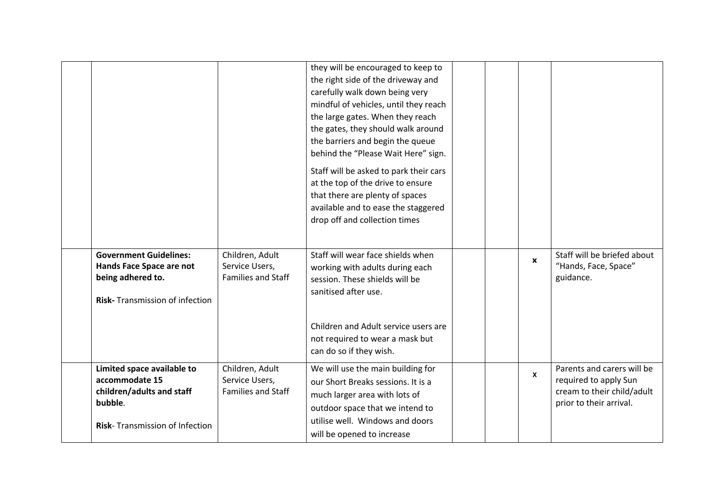|                                                                                                                        |                                                                | they will be encouraged to keep to<br>the right side of the driveway and<br>carefully walk down being very<br>mindful of vehicles, until they reach<br>the large gates. When they reach<br>the gates, they should walk around<br>the barriers and begin the queue<br>behind the "Please Wait Here" sign.<br>Staff will be asked to park their cars<br>at the top of the drive to ensure<br>that there are plenty of spaces<br>available and to ease the staggered<br>drop off and collection times |  |              |                                                                                                              |
|------------------------------------------------------------------------------------------------------------------------|----------------------------------------------------------------|----------------------------------------------------------------------------------------------------------------------------------------------------------------------------------------------------------------------------------------------------------------------------------------------------------------------------------------------------------------------------------------------------------------------------------------------------------------------------------------------------|--|--------------|--------------------------------------------------------------------------------------------------------------|
| <b>Government Guidelines:</b><br>Hands Face Space are not<br>being adhered to.<br>Risk-Transmission of infection       | Children, Adult<br>Service Users,<br><b>Families and Staff</b> | Staff will wear face shields when<br>working with adults during each<br>session. These shields will be<br>sanitised after use.<br>Children and Adult service users are<br>not required to wear a mask but<br>can do so if they wish.                                                                                                                                                                                                                                                               |  | $\mathbf{x}$ | Staff will be briefed about<br>"Hands, Face, Space"<br>guidance.                                             |
| Limited space available to<br>accommodate 15<br>children/adults and staff<br>bubble.<br>Risk-Transmission of Infection | Children, Adult<br>Service Users,<br><b>Families and Staff</b> | We will use the main building for<br>our Short Breaks sessions. It is a<br>much larger area with lots of<br>outdoor space that we intend to<br>utilise well. Windows and doors<br>will be opened to increase                                                                                                                                                                                                                                                                                       |  | $\mathsf{x}$ | Parents and carers will be<br>required to apply Sun<br>cream to their child/adult<br>prior to their arrival. |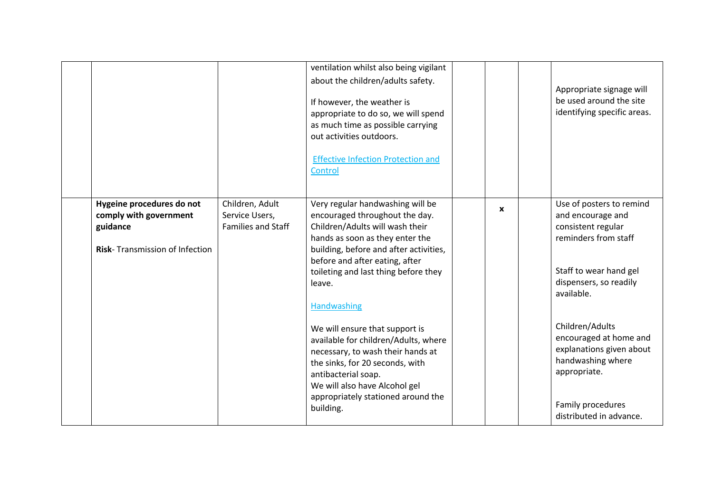|                                                                                                   |                                                                | ventilation whilst also being vigilant<br>about the children/adults safety.<br>If however, the weather is<br>appropriate to do so, we will spend<br>as much time as possible carrying<br>out activities outdoors.<br><b>Effective Infection Protection and</b><br>Control             |              | Appropriate signage will<br>be used around the site<br>identifying specific areas.                                                                            |
|---------------------------------------------------------------------------------------------------|----------------------------------------------------------------|---------------------------------------------------------------------------------------------------------------------------------------------------------------------------------------------------------------------------------------------------------------------------------------|--------------|---------------------------------------------------------------------------------------------------------------------------------------------------------------|
| Hygeine procedures do not<br>comply with government<br>guidance<br>Risk-Transmission of Infection | Children, Adult<br>Service Users,<br><b>Families and Staff</b> | Very regular handwashing will be<br>encouraged throughout the day.<br>Children/Adults will wash their<br>hands as soon as they enter the<br>building, before and after activities,<br>before and after eating, after<br>toileting and last thing before they<br>leave.<br>Handwashing | $\mathbf{x}$ | Use of posters to remind<br>and encourage and<br>consistent regular<br>reminders from staff<br>Staff to wear hand gel<br>dispensers, so readily<br>available. |
|                                                                                                   |                                                                | We will ensure that support is<br>available for children/Adults, where<br>necessary, to wash their hands at<br>the sinks, for 20 seconds, with<br>antibacterial soap.<br>We will also have Alcohol gel<br>appropriately stationed around the<br>building.                             |              | Children/Adults<br>encouraged at home and<br>explanations given about<br>handwashing where<br>appropriate.<br>Family procedures<br>distributed in advance.    |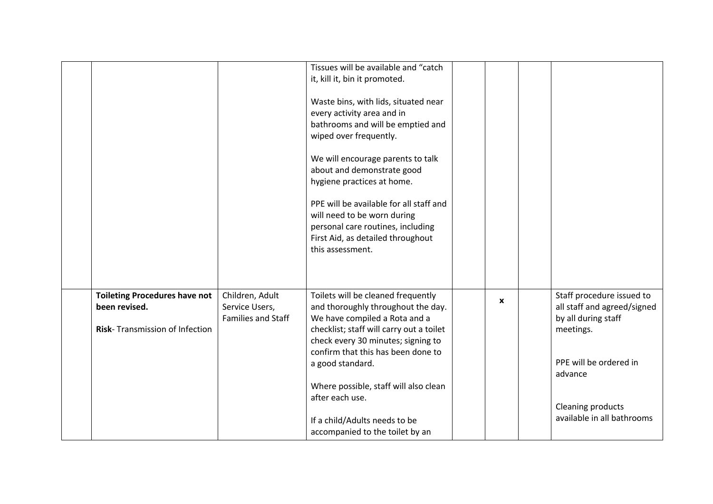|                                                                                         |                                                         | Tissues will be available and "catch<br>it, kill it, bin it promoted.<br>Waste bins, with lids, situated near<br>every activity area and in<br>bathrooms and will be emptied and<br>wiped over frequently.<br>We will encourage parents to talk<br>about and demonstrate good<br>hygiene practices at home.<br>PPE will be available for all staff and<br>will need to be worn during<br>personal care routines, including<br>First Aid, as detailed throughout<br>this assessment. |                           |                                                                                                                                                                                             |
|-----------------------------------------------------------------------------------------|---------------------------------------------------------|-------------------------------------------------------------------------------------------------------------------------------------------------------------------------------------------------------------------------------------------------------------------------------------------------------------------------------------------------------------------------------------------------------------------------------------------------------------------------------------|---------------------------|---------------------------------------------------------------------------------------------------------------------------------------------------------------------------------------------|
| <b>Toileting Procedures have not</b><br>been revised.<br>Risk-Transmission of Infection | Children, Adult<br>Service Users,<br>Families and Staff | Toilets will be cleaned frequently<br>and thoroughly throughout the day.<br>We have compiled a Rota and a<br>checklist; staff will carry out a toilet<br>check every 30 minutes; signing to<br>confirm that this has been done to<br>a good standard.<br>Where possible, staff will also clean<br>after each use.<br>If a child/Adults needs to be<br>accompanied to the toilet by an                                                                                               | $\boldsymbol{\mathsf{x}}$ | Staff procedure issued to<br>all staff and agreed/signed<br>by all during staff<br>meetings.<br>PPE will be ordered in<br>advance<br><b>Cleaning products</b><br>available in all bathrooms |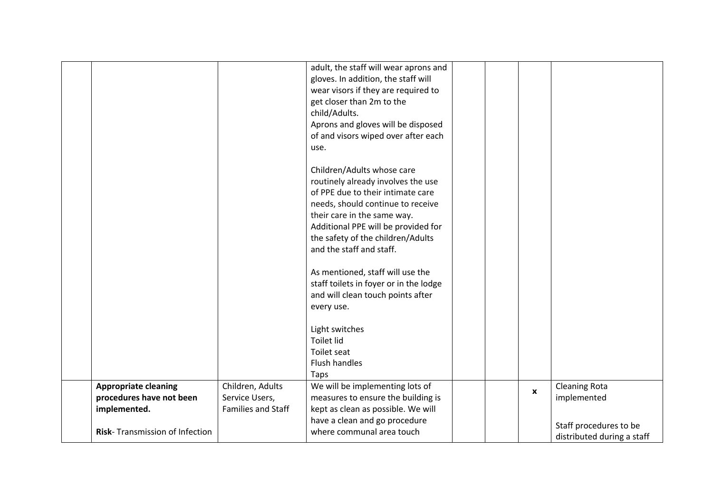|                                |                    | adult, the staff will wear aprons and  |              |                            |
|--------------------------------|--------------------|----------------------------------------|--------------|----------------------------|
|                                |                    | gloves. In addition, the staff will    |              |                            |
|                                |                    | wear visors if they are required to    |              |                            |
|                                |                    | get closer than 2m to the              |              |                            |
|                                |                    | child/Adults.                          |              |                            |
|                                |                    | Aprons and gloves will be disposed     |              |                            |
|                                |                    | of and visors wiped over after each    |              |                            |
|                                |                    | use.                                   |              |                            |
|                                |                    | Children/Adults whose care             |              |                            |
|                                |                    | routinely already involves the use     |              |                            |
|                                |                    | of PPE due to their intimate care      |              |                            |
|                                |                    | needs, should continue to receive      |              |                            |
|                                |                    | their care in the same way.            |              |                            |
|                                |                    | Additional PPE will be provided for    |              |                            |
|                                |                    | the safety of the children/Adults      |              |                            |
|                                |                    | and the staff and staff.               |              |                            |
|                                |                    |                                        |              |                            |
|                                |                    | As mentioned, staff will use the       |              |                            |
|                                |                    | staff toilets in foyer or in the lodge |              |                            |
|                                |                    | and will clean touch points after      |              |                            |
|                                |                    | every use.                             |              |                            |
|                                |                    |                                        |              |                            |
|                                |                    | Light switches                         |              |                            |
|                                |                    | <b>Toilet lid</b>                      |              |                            |
|                                |                    | Toilet seat                            |              |                            |
|                                |                    | <b>Flush handles</b>                   |              |                            |
|                                |                    | Taps                                   |              |                            |
| <b>Appropriate cleaning</b>    | Children, Adults   | We will be implementing lots of        | $\mathbf{x}$ | <b>Cleaning Rota</b>       |
| procedures have not been       | Service Users,     | measures to ensure the building is     |              | implemented                |
| implemented.                   | Families and Staff | kept as clean as possible. We will     |              |                            |
|                                |                    | have a clean and go procedure          |              | Staff procedures to be     |
| Risk-Transmission of Infection |                    | where communal area touch              |              | distributed during a staff |
|                                |                    |                                        |              |                            |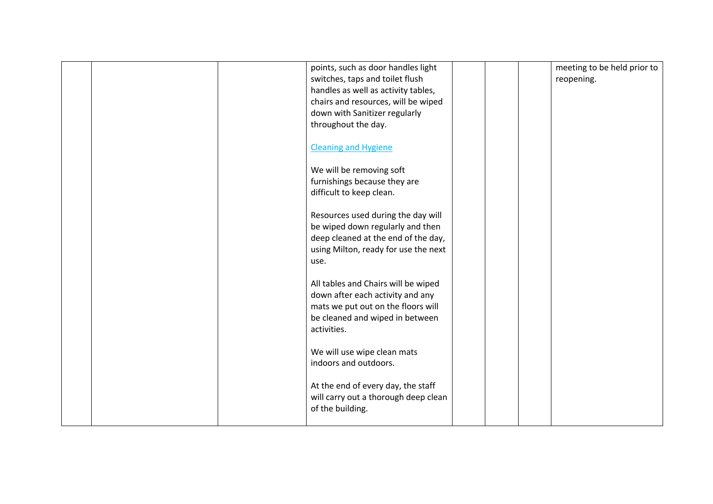|  | points, such as door handles light<br>switches, taps and toilet flush<br>handles as well as activity tables,<br>chairs and resources, will be wiped<br>down with Sanitizer regularly<br>throughout the day.<br><b>Cleaning and Hygiene</b><br>We will be removing soft<br>furnishings because they are<br>difficult to keep clean.<br>Resources used during the day will<br>be wiped down regularly and then<br>deep cleaned at the end of the day,<br>using Milton, ready for use the next<br>use.<br>All tables and Chairs will be wiped<br>down after each activity and any<br>mats we put out on the floors will<br>be cleaned and wiped in between<br>activities.<br>We will use wipe clean mats<br>indoors and outdoors.<br>At the end of every day, the staff<br>will carry out a thorough deep clean<br>of the building. | meeting to be held prior to<br>reopening. |
|--|----------------------------------------------------------------------------------------------------------------------------------------------------------------------------------------------------------------------------------------------------------------------------------------------------------------------------------------------------------------------------------------------------------------------------------------------------------------------------------------------------------------------------------------------------------------------------------------------------------------------------------------------------------------------------------------------------------------------------------------------------------------------------------------------------------------------------------|-------------------------------------------|
|--|----------------------------------------------------------------------------------------------------------------------------------------------------------------------------------------------------------------------------------------------------------------------------------------------------------------------------------------------------------------------------------------------------------------------------------------------------------------------------------------------------------------------------------------------------------------------------------------------------------------------------------------------------------------------------------------------------------------------------------------------------------------------------------------------------------------------------------|-------------------------------------------|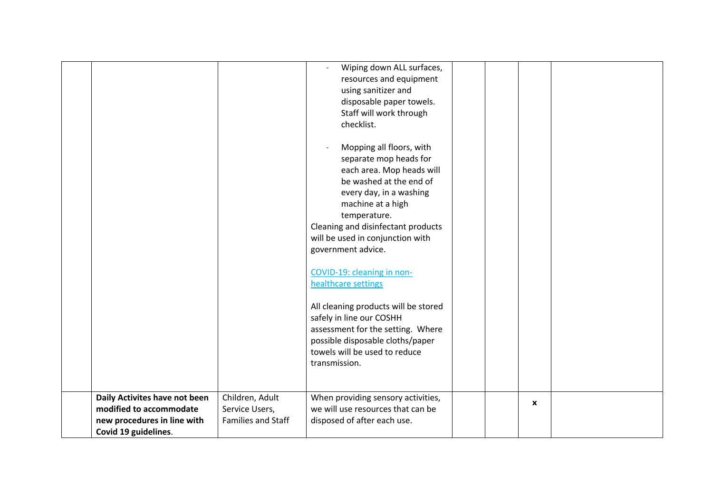|                               |                           | Wiping down ALL surfaces,            |  |              |  |
|-------------------------------|---------------------------|--------------------------------------|--|--------------|--|
|                               |                           | resources and equipment              |  |              |  |
|                               |                           | using sanitizer and                  |  |              |  |
|                               |                           | disposable paper towels.             |  |              |  |
|                               |                           | Staff will work through              |  |              |  |
|                               |                           | checklist.                           |  |              |  |
|                               |                           |                                      |  |              |  |
|                               |                           | Mopping all floors, with             |  |              |  |
|                               |                           | separate mop heads for               |  |              |  |
|                               |                           | each area. Mop heads will            |  |              |  |
|                               |                           | be washed at the end of              |  |              |  |
|                               |                           | every day, in a washing              |  |              |  |
|                               |                           | machine at a high                    |  |              |  |
|                               |                           | temperature.                         |  |              |  |
|                               |                           | Cleaning and disinfectant products   |  |              |  |
|                               |                           | will be used in conjunction with     |  |              |  |
|                               |                           | government advice.                   |  |              |  |
|                               |                           |                                      |  |              |  |
|                               |                           | COVID-19: cleaning in non-           |  |              |  |
|                               |                           | healthcare settings                  |  |              |  |
|                               |                           |                                      |  |              |  |
|                               |                           | All cleaning products will be stored |  |              |  |
|                               |                           | safely in line our COSHH             |  |              |  |
|                               |                           | assessment for the setting. Where    |  |              |  |
|                               |                           | possible disposable cloths/paper     |  |              |  |
|                               |                           | towels will be used to reduce        |  |              |  |
|                               |                           | transmission.                        |  |              |  |
|                               |                           |                                      |  |              |  |
|                               |                           |                                      |  |              |  |
| Daily Activites have not been | Children, Adult           | When providing sensory activities,   |  | $\mathbf{x}$ |  |
| modified to accommodate       | Service Users,            | we will use resources that can be    |  |              |  |
| new procedures in line with   | <b>Families and Staff</b> | disposed of after each use.          |  |              |  |
| Covid 19 guidelines.          |                           |                                      |  |              |  |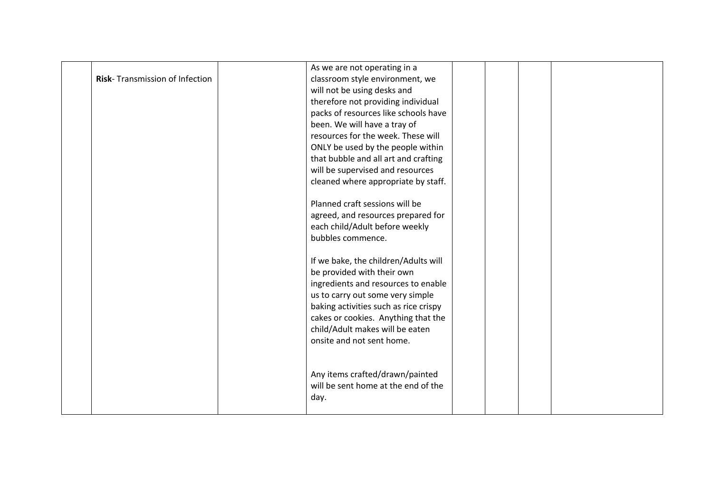|                                        | As we are not operating in a          |  |  |  |
|----------------------------------------|---------------------------------------|--|--|--|
| <b>Risk-</b> Transmission of Infection | classroom style environment, we       |  |  |  |
|                                        | will not be using desks and           |  |  |  |
|                                        | therefore not providing individual    |  |  |  |
|                                        | packs of resources like schools have  |  |  |  |
|                                        | been. We will have a tray of          |  |  |  |
|                                        | resources for the week. These will    |  |  |  |
|                                        | ONLY be used by the people within     |  |  |  |
|                                        | that bubble and all art and crafting  |  |  |  |
|                                        | will be supervised and resources      |  |  |  |
|                                        | cleaned where appropriate by staff.   |  |  |  |
|                                        |                                       |  |  |  |
|                                        | Planned craft sessions will be        |  |  |  |
|                                        | agreed, and resources prepared for    |  |  |  |
|                                        | each child/Adult before weekly        |  |  |  |
|                                        | bubbles commence.                     |  |  |  |
|                                        |                                       |  |  |  |
|                                        | If we bake, the children/Adults will  |  |  |  |
|                                        | be provided with their own            |  |  |  |
|                                        | ingredients and resources to enable   |  |  |  |
|                                        | us to carry out some very simple      |  |  |  |
|                                        | baking activities such as rice crispy |  |  |  |
|                                        | cakes or cookies. Anything that the   |  |  |  |
|                                        | child/Adult makes will be eaten       |  |  |  |
|                                        | onsite and not sent home.             |  |  |  |
|                                        |                                       |  |  |  |
|                                        |                                       |  |  |  |
|                                        | Any items crafted/drawn/painted       |  |  |  |
|                                        | will be sent home at the end of the   |  |  |  |
|                                        | day.                                  |  |  |  |
|                                        |                                       |  |  |  |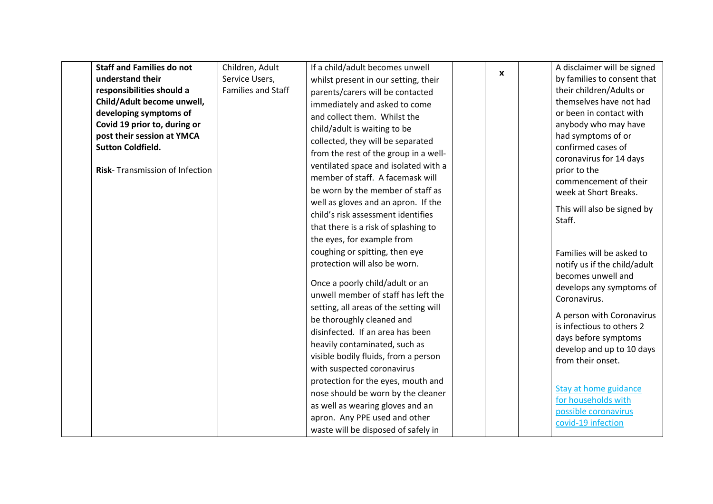| <b>Staff and Families do not</b>       | Children, Adult           | If a child/adult becomes unwell                                           |              | A disclaimer will be signed  |
|----------------------------------------|---------------------------|---------------------------------------------------------------------------|--------------|------------------------------|
| understand their                       | Service Users,            | whilst present in our setting, their                                      | $\mathbf{x}$ | by families to consent that  |
| responsibilities should a              | <b>Families and Staff</b> | parents/carers will be contacted                                          |              | their children/Adults or     |
| Child/Adult become unwell,             |                           | immediately and asked to come                                             |              | themselves have not had      |
| developing symptoms of                 |                           | and collect them. Whilst the                                              |              | or been in contact with      |
| Covid 19 prior to, during or           |                           | child/adult is waiting to be                                              |              | anybody who may have         |
| post their session at YMCA             |                           | collected, they will be separated                                         |              | had symptoms of or           |
| <b>Sutton Coldfield.</b>               |                           | from the rest of the group in a well-                                     |              | confirmed cases of           |
|                                        |                           | ventilated space and isolated with a                                      |              | coronavirus for 14 days      |
| <b>Risk-</b> Transmission of Infection |                           | member of staff. A facemask will                                          |              | prior to the                 |
|                                        |                           |                                                                           |              | commencement of their        |
|                                        |                           | be worn by the member of staff as                                         |              | week at Short Breaks.        |
|                                        |                           | well as gloves and an apron. If the<br>child's risk assessment identifies |              | This will also be signed by  |
|                                        |                           |                                                                           |              | Staff.                       |
|                                        |                           | that there is a risk of splashing to                                      |              |                              |
|                                        |                           | the eyes, for example from                                                |              |                              |
|                                        |                           | coughing or spitting, then eye                                            |              | Families will be asked to    |
|                                        |                           | protection will also be worn.                                             |              | notify us if the child/adult |
|                                        |                           | Once a poorly child/adult or an                                           |              | becomes unwell and           |
|                                        |                           | unwell member of staff has left the                                       |              | develops any symptoms of     |
|                                        |                           | setting, all areas of the setting will                                    |              | Coronavirus.                 |
|                                        |                           | be thoroughly cleaned and                                                 |              | A person with Coronavirus    |
|                                        |                           | disinfected. If an area has been                                          |              | is infectious to others 2    |
|                                        |                           | heavily contaminated, such as                                             |              | days before symptoms         |
|                                        |                           | visible bodily fluids, from a person                                      |              | develop and up to 10 days    |
|                                        |                           | with suspected coronavirus                                                |              | from their onset.            |
|                                        |                           | protection for the eyes, mouth and                                        |              |                              |
|                                        |                           | nose should be worn by the cleaner                                        |              | <b>Stay at home guidance</b> |
|                                        |                           | as well as wearing gloves and an                                          |              | for households with          |
|                                        |                           | apron. Any PPE used and other                                             |              | possible coronavirus         |
|                                        |                           | waste will be disposed of safely in                                       |              | covid-19 infection           |
|                                        |                           |                                                                           |              |                              |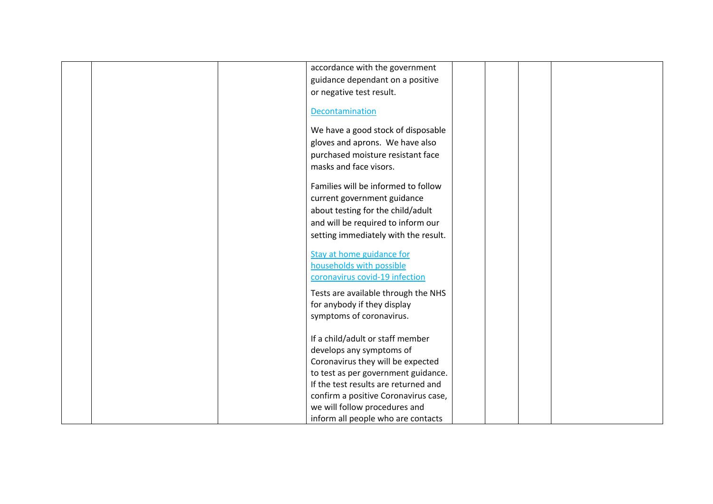|  | accordance with the government       |  |  |
|--|--------------------------------------|--|--|
|  | guidance dependant on a positive     |  |  |
|  | or negative test result.             |  |  |
|  |                                      |  |  |
|  | Decontamination                      |  |  |
|  |                                      |  |  |
|  | We have a good stock of disposable   |  |  |
|  | gloves and aprons. We have also      |  |  |
|  | purchased moisture resistant face    |  |  |
|  | masks and face visors.               |  |  |
|  | Families will be informed to follow  |  |  |
|  |                                      |  |  |
|  | current government guidance          |  |  |
|  | about testing for the child/adult    |  |  |
|  | and will be required to inform our   |  |  |
|  | setting immediately with the result. |  |  |
|  | Stay at home guidance for            |  |  |
|  | households with possible             |  |  |
|  |                                      |  |  |
|  | coronavirus covid-19 infection       |  |  |
|  | Tests are available through the NHS  |  |  |
|  | for anybody if they display          |  |  |
|  | symptoms of coronavirus.             |  |  |
|  |                                      |  |  |
|  | If a child/adult or staff member     |  |  |
|  | develops any symptoms of             |  |  |
|  | Coronavirus they will be expected    |  |  |
|  | to test as per government guidance.  |  |  |
|  | If the test results are returned and |  |  |
|  | confirm a positive Coronavirus case, |  |  |
|  | we will follow procedures and        |  |  |
|  | inform all people who are contacts   |  |  |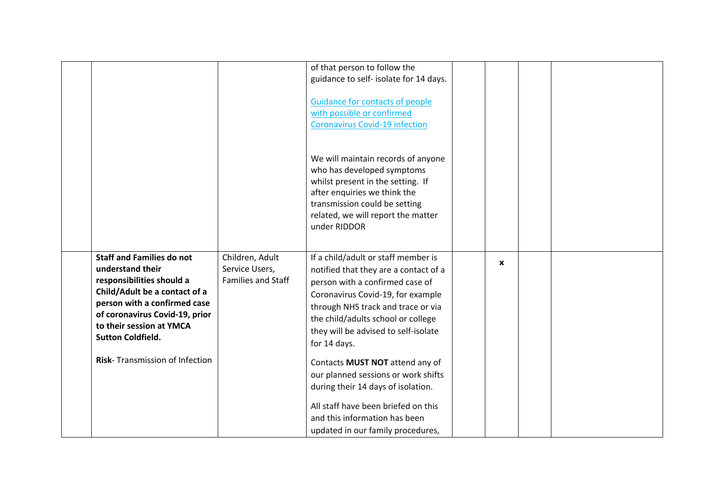|                                                                                                                                                                                                                                              |                                                         | of that person to follow the<br>guidance to self- isolate for 14 days.<br>Guidance for contacts of people<br>with possible or confirmed<br><b>Coronavirus Covid-19 infection</b>                                                                                                         |              |  |
|----------------------------------------------------------------------------------------------------------------------------------------------------------------------------------------------------------------------------------------------|---------------------------------------------------------|------------------------------------------------------------------------------------------------------------------------------------------------------------------------------------------------------------------------------------------------------------------------------------------|--------------|--|
|                                                                                                                                                                                                                                              |                                                         | We will maintain records of anyone<br>who has developed symptoms<br>whilst present in the setting. If<br>after enquiries we think the<br>transmission could be setting<br>related, we will report the matter<br>under RIDDOR                                                             |              |  |
| <b>Staff and Families do not</b><br>understand their<br>responsibilities should a<br>Child/Adult be a contact of a<br>person with a confirmed case<br>of coronavirus Covid-19, prior<br>to their session at YMCA<br><b>Sutton Coldfield.</b> | Children, Adult<br>Service Users,<br>Families and Staff | If a child/adult or staff member is<br>notified that they are a contact of a<br>person with a confirmed case of<br>Coronavirus Covid-19, for example<br>through NHS track and trace or via<br>the child/adults school or college<br>they will be advised to self-isolate<br>for 14 days. | $\mathbf{x}$ |  |
| Risk-Transmission of Infection                                                                                                                                                                                                               |                                                         | Contacts MUST NOT attend any of<br>our planned sessions or work shifts<br>during their 14 days of isolation.<br>All staff have been briefed on this<br>and this information has been<br>updated in our family procedures,                                                                |              |  |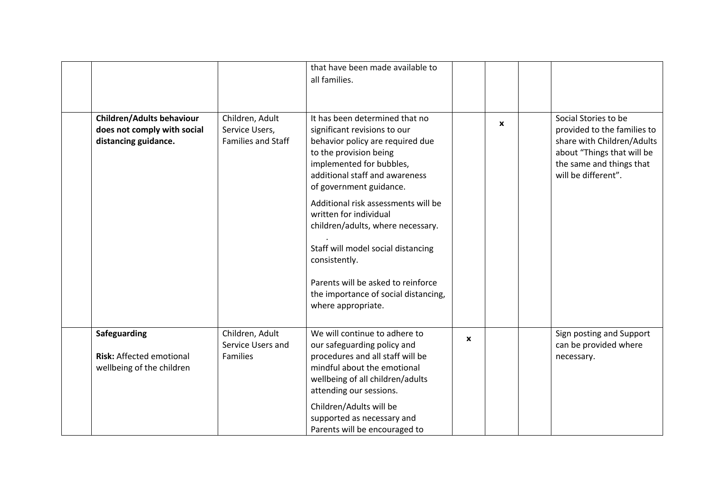|                                                                                         |                                                                | that have been made available to<br>all families.                                                                                                                                                                                                                                                                                                                                                                                                                                      |              |              |                                                                                                                                                                    |
|-----------------------------------------------------------------------------------------|----------------------------------------------------------------|----------------------------------------------------------------------------------------------------------------------------------------------------------------------------------------------------------------------------------------------------------------------------------------------------------------------------------------------------------------------------------------------------------------------------------------------------------------------------------------|--------------|--------------|--------------------------------------------------------------------------------------------------------------------------------------------------------------------|
| <b>Children/Adults behaviour</b><br>does not comply with social<br>distancing guidance. | Children, Adult<br>Service Users,<br><b>Families and Staff</b> | It has been determined that no<br>significant revisions to our<br>behavior policy are required due<br>to the provision being<br>implemented for bubbles,<br>additional staff and awareness<br>of government guidance.<br>Additional risk assessments will be<br>written for individual<br>children/adults, where necessary.<br>Staff will model social distancing<br>consistently.<br>Parents will be asked to reinforce<br>the importance of social distancing,<br>where appropriate. |              | $\mathbf{x}$ | Social Stories to be<br>provided to the families to<br>share with Children/Adults<br>about "Things that will be<br>the same and things that<br>will be different". |
| Safeguarding<br><b>Risk: Affected emotional</b><br>wellbeing of the children            | Children, Adult<br>Service Users and<br><b>Families</b>        | We will continue to adhere to<br>our safeguarding policy and<br>procedures and all staff will be<br>mindful about the emotional<br>wellbeing of all children/adults<br>attending our sessions.<br>Children/Adults will be<br>supported as necessary and<br>Parents will be encouraged to                                                                                                                                                                                               | $\mathbf{x}$ |              | Sign posting and Support<br>can be provided where<br>necessary.                                                                                                    |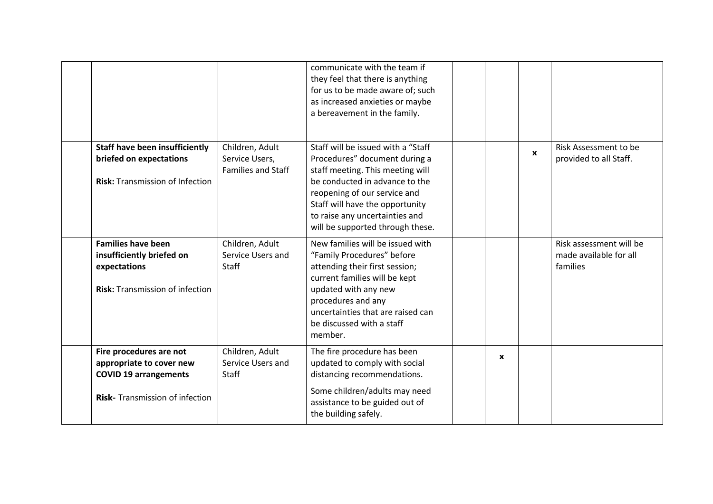|                                                                                                                               |                                                                | communicate with the team if<br>they feel that there is anything<br>for us to be made aware of; such<br>as increased anxieties or maybe<br>a bereavement in the family.                                                                                                            |              |              |                                                               |
|-------------------------------------------------------------------------------------------------------------------------------|----------------------------------------------------------------|------------------------------------------------------------------------------------------------------------------------------------------------------------------------------------------------------------------------------------------------------------------------------------|--------------|--------------|---------------------------------------------------------------|
| <b>Staff have been insufficiently</b><br>briefed on expectations<br><b>Risk: Transmission of Infection</b>                    | Children, Adult<br>Service Users,<br><b>Families and Staff</b> | Staff will be issued with a "Staff<br>Procedures" document during a<br>staff meeting. This meeting will<br>be conducted in advance to the<br>reopening of our service and<br>Staff will have the opportunity<br>to raise any uncertainties and<br>will be supported through these. |              | $\mathbf{x}$ | Risk Assessment to be<br>provided to all Staff.               |
| <b>Families have been</b><br>insufficiently briefed on<br>expectations<br><b>Risk:</b> Transmission of infection              | Children, Adult<br>Service Users and<br>Staff                  | New families will be issued with<br>"Family Procedures" before<br>attending their first session;<br>current families will be kept<br>updated with any new<br>procedures and any<br>uncertainties that are raised can<br>be discussed with a staff<br>member.                       |              |              | Risk assessment will be<br>made available for all<br>families |
| Fire procedures are not<br>appropriate to cover new<br><b>COVID 19 arrangements</b><br><b>Risk-</b> Transmission of infection | Children, Adult<br>Service Users and<br><b>Staff</b>           | The fire procedure has been<br>updated to comply with social<br>distancing recommendations.<br>Some children/adults may need<br>assistance to be guided out of<br>the building safely.                                                                                             | $\mathbf{x}$ |              |                                                               |